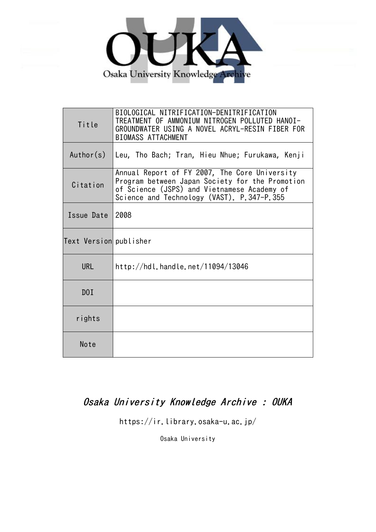

| Title                  | BIOLOGICAL NITRIFICATION-DENITRIFICATION<br>TREATMENT OF AMMONIUM NITROGEN POLLUTED HANOI-<br>GROUNDWATER USING A NOVEL ACRYL-RESIN FIBER FOR<br><b>BIOMASS ATTACHMENT</b>                    |
|------------------------|-----------------------------------------------------------------------------------------------------------------------------------------------------------------------------------------------|
| Author(s)              | Leu, Tho Bach; Tran, Hieu Nhue; Furukawa, Kenji                                                                                                                                               |
| Citation               | Annual Report of FY 2007, The Core University<br>Program between Japan Society for the Promotion<br>of Science (JSPS) and Vietnamese Academy of<br>Science and Technology (VAST). P.347-P.355 |
| Issue Date             | 2008                                                                                                                                                                                          |
| Text Version publisher |                                                                                                                                                                                               |
| <b>URL</b>             | http://hdl.handle.net/11094/13046                                                                                                                                                             |
| DOI                    |                                                                                                                                                                                               |
| rights                 |                                                                                                                                                                                               |
| Note                   |                                                                                                                                                                                               |

# Osaka University Knowledge Archive : OUKA

https://ir.library.osaka-u.ac.jp/

Osaka University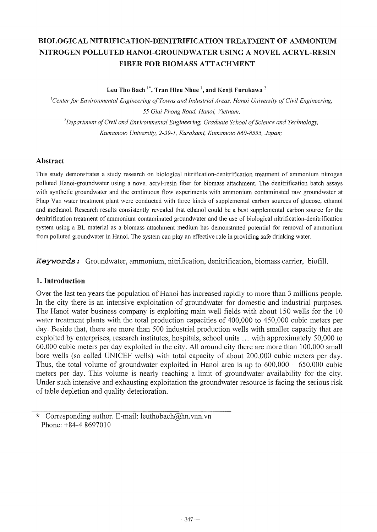## BIOLOGICAL NITRIFICA TION-DENITRIFICA TION TREATMENT OF AMMONIUM NITROGEN POLLUTED HANOI-GROUNDWATER USING A NOVEL ACRYL-RESIN FIBER FOR BIOMASS ATTACHMENT

Leu Tho Bach<sup>1\*</sup>, Tran Hieu Nhue<sup>1</sup>, and Kenji Furukawa<sup>2</sup>

<sup>*l*</sup>Center for Environmental Engineering of Towns and Industrial Areas, Hanoi University of Civil Engineering, *55 Giai Phong Road, Hanoi, Vietnam;*  <sup>2</sup>Department of Civil and Environmental Engineering, Graduate School of Science and Technology, *Kumamoto University,* 2-39-1, *Kurokami, Kumamoto 860-8555, Japan;* 

## Abstract

This study demonstrates a study research on biological nitrification-denitrification treatment of ammonium nitrogen polluted Hanoi-groundwater using a novel acryl-resin fiber for biomass attachment. The denitrification batch assays with synthetic groundwater and the continuous flow experiments with ammonium contaminated raw groundwater at Phap Van water treatment plant were conducted with three kinds of supplemental carbon sources of glucose, ethanol and methanol. Research results consistently revealed that ethanol could be a best supplemental carbon source for the denitrification treatment of ammonium contaminated groundwater and the use of biological nitrification-denitrification system using a BL material as a biomass attachment medium has demonstrated potential for removal of ammonium from polluted groundwater in Hanoi. The system can play an effective role in providing safe drinking water.

Keywords: Groundwater, ammonium, nitrification, denitrification, biomass carrier, biofill.

## 1. Introduction

Over the last ten years the population of Hanoi has increased rapidly to more than 3 millions people. In the city there is an intensive exploitation of groundwater for domestic and industrial purposes. The Hanoi water business company is exploiting main well fields with about 150 wells for the 10 water treatment plants with the total production capacities of 400,000 to 450,000 cubic meters per day. Beside that, there are more than 500 industrial production wells with smaller capacity that are exploited by enterprises, research institutes, hospitals, school units ... with approximately 50,000 to 60,000 cubic meters per day exploited in the city. All around city there are more than 100,000 small bore wells (so called UNICEF wells) with total capacity of about 200,000 cubic meters per day. Thus, the total volume of groundwater exploited in Hanoi area is up to  $600,000 - 650,000$  cubic meters per day. This volume is nearly reaching a limit of groundwater availability for the city. Under such intensive and exhausting exploitation the groundwater resource is facing the serious risk of table depletion and quality deterioration.

Corresponding author. E-mail: leuthobach@hn.vnn.vn Phone: +84-4 8697010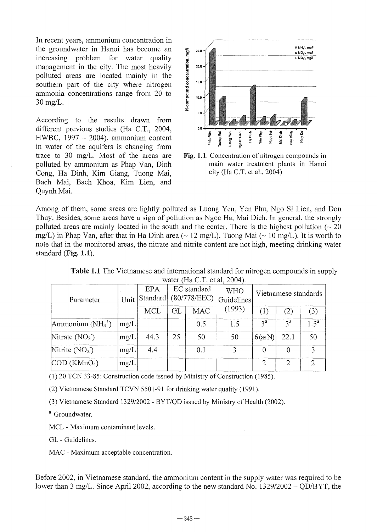In recent years, ammonium concentration in the groundwater in Hanoi has become an increasing problem for water quality management in the city. The most heavily polluted areas are located mainly in the southern part of the city where nitrogen ammonia concentrations range from 20 to 30 mg/L.

According to the results drawn from different previous studies (Ha C.T., 2004, HWBC,  $1997 - 2004$ ), ammonium content in water of the aquifers is changing from trace to 30 mg/L. Most of the areas are polluted by ammonium as Phap Van, Dinh Cong, Ha Dinh, Kim Giang, Tuong Mai, Bach Mai, Bach Khoa, Kim Lien, and Quynh Mai.



Fig. 1.1. Concentration of nitrogen compounds in main water treatment plants in Hanoi city (Ha C.T. et aI., 2004)

Among of them, some areas are lightly polluted as Luong Yen, Yen Phu, Ngo Si Lien, and Don Thuy. Besides, some areas have a sign of pollution as Ngoc Ha, Mai Dich. In general, the strongly polluted areas are mainly located in the south and the center. There is the highest pollution ( $\sim$  20 mg/L) in Phap Van, after that in Ha Dinh area ( $\sim$  12 mg/L), Tuong Mai ( $\sim$  10 mg/L). It is worth to note that in the monitored areas, the nitrate and nitrite content are not high, meeting drinking water standard (Fig. 1.1).

| water (Fig. C.T. of al. $2004$ ). |      |                 |                             |            |                          |                      |          |                  |
|-----------------------------------|------|-----------------|-----------------------------|------------|--------------------------|----------------------|----------|------------------|
| Parameter                         | Unit | EPA<br>Standard | EC standard<br>(80/778/EEC) |            | <b>WHO</b><br>Guidelines | Vietnamese standards |          |                  |
|                                   |      | MCL             | GL.                         | <b>MAC</b> | (1993)                   | (1)                  | (2)      | (3)              |
| Ammonium $(NH_4^+)$               | mg/L |                 |                             | 0.5        | 1.5                      | $3^a$                | $3^a$    | $1.5^{\text{a}}$ |
| Nitrate $(NO3)$                   | mg/L | 44.3            | 25                          | 50         | 50                       | $6$ (as N)           | 22.1     | 50               |
| Nitrite $(NO2)$                   | mg/L | 4.4             |                             | 0.1        | 3                        | $\Omega$             | $\Omega$ |                  |
| $\text{COD}$ (KMnO <sub>4</sub> ) | mg/L |                 |                             |            |                          | 2                    | 2        | 2                |

Table 1.1 The Vietnamese and international standard for nitrogen compounds in supply water (Ha C.T. et al. 2004).

(1) 20 TCN 33-85: Construction code issued by Ministry of Construction (1985).

(2) Vietnamese Standard TCVN 5501-91 for drinking water quality (1991).

(3) Vietnamese Standard *1329/2002* - *BYT/QD* issued by Ministry of Health (2002).

<sup>a</sup> Groundwater.

MCL - Maximum contaminant levels.

GL - Guidelines.

MAC - Maximum acceptable concentration.

Before 2002, in Vietnamese standard, the ammonium content in the supply water was required to be lower than 3 mg/L. Since April 2002, according to the new standard No. 1329/2002 – QD/BYT, the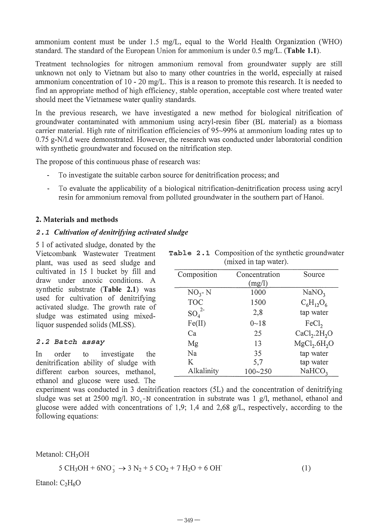ammonium content must be under 1.5 mg/L, equal to the World Health Organization (WHO) standard. The standard of the European Union for ammonium is under  $0.5 \text{ mg/L}$ . (Table 1.1).

Treatment technologies for nitrogen ammonium removal from groundwater supply are still unknown not only to Vietnam but also to many other countries in the world, especially at raised ammonium concentration of 10 - 20 mg/L. This is a reason to promote this research. It is needed to find an appropriate method of high efficiency, stable operation, acceptable cost where treated water should meet the Vietnamese water quality standards.

In the previous research, we have investigated a new method for biological nitrification of groundwater contaminated with ammonium using acryl-resin fiber (BL material) as a biomass carrier material. High rate of nitrification efficiencies of 95-99% at ammonium loading rates up to 0.75 g-N/l.d were demonstrated. However, the research was conducted under laboratorial condition with synthetic groundwater and focused on the nitrification step.

The propose of this continuous phase of research was:

- To investigate the suitable carbon source for denitrification process; and  $\omega$
- To evaluate the applicability of a biological nitrification-denitrification process using acryl resin for ammonium removal from polluted groundwater in the southern part of Hanoi.

## 2. Materials and methods

## 2.1 *Cultivation of denitrifying activated sludge*

5 I of activated sludge, donated by the Vietcombank Wastewater Treatment plant, was used as seed sludge and cultivated in 15 I bucket by fill and draw under anoxic conditions. A synthetic substrate (Table 2.1) was used for cultivation of denitrifying activated sludge. The growth rate of sludge was estimated using mixedliquor suspended solids (MLSS).

## *2.2 Batch assay*

In order to investigate the denitrification ability of sludge with different carbon sources, methanol, ethanol and glucose were used. The

|  | Table 2.1 Composition of the synthetic groundwater |
|--|----------------------------------------------------|
|  | (mixed in tap water).                              |

| Composition | Concentration<br>(mg/l) | Source                               |
|-------------|-------------------------|--------------------------------------|
| $NO3 - N$   | 1000                    | NaNO <sub>3</sub>                    |
| <b>TOC</b>  | 1500                    | $C_6H_1O_6$                          |
| $SO_4^2$    | 2,8                     | tap water                            |
| Fe(II)      | $0 - 18$                | FeCl <sub>2</sub>                    |
| Cа          | 25                      | CaCl <sub>2</sub> .2H <sub>2</sub> O |
| Mg          | 13                      | MgCl <sub>2</sub> .6H <sub>2</sub> O |
| Na          | 35                      | tap water                            |
| K           | 5,7                     | tap water                            |
| Alkalinity  | 100~250                 | NaHCO <sub>3</sub>                   |

experiment was conducted in 3 denitrification reactors (5L) and the concentration of denitrifying sludge was set at 2500 mg/l. NO<sub>3</sub>-N concentration in substrate was 1 g/l, methanol, ethanol and glucose were added with concentrations of 1,9; 1,4 and 2,68 g/L, respectively, according to the following equations:

Metanol: CH<sub>3</sub>OH

$$
5 \text{ CH}_3\text{OH} + 6\text{NO}_3^- \rightarrow 3 \text{ N}_2 + 5 \text{ CO}_2 + 7 \text{ H}_2\text{O} + 6 \text{ OH}^- \tag{1}
$$

Etanol:  $C_2H_6O$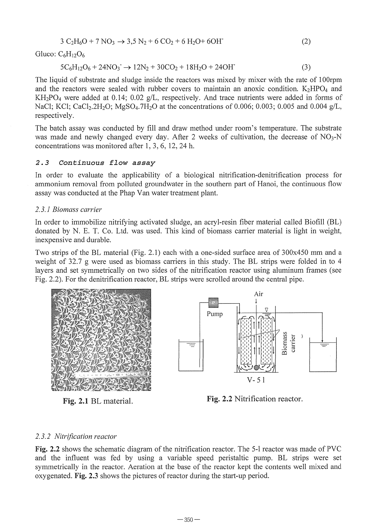$$
3 C2H6O + 7 NO3 \to 3,5 N2 + 6 CO2 + 6 H2O + 6OH
$$
 (2)

Gluco:  $C_6H_{12}O_6$ 

$$
5C_6H_{12}O_6 + 24NO_3 \rightarrow 12N_2 + 30CO_2 + 18H_2O + 24OH \tag{3}
$$

The liquid of substrate and sludge inside the reactors was mixed by mixer with the rate of 100rpm and the reactors were sealed with rubber covers to maintain an anoxic condition.  $K_2HPO_4$  and  $KH_2PO_4$  were added at 0.14; 0.02 g/L, respectively. And trace nutrients were added in forms of NaCl; KCl; CaCl<sub>2</sub>.2H<sub>2</sub>O; MgSO<sub>4</sub>.7H<sub>2</sub>O at the concentrations of 0.006; 0.003; 0.005 and 0.004 g/L, respectively.

The batch assay was conducted by fill and draw method under room's temperature. The substrate was made and newly changed every day. After 2 weeks of cultivation, the decrease of  $NO<sub>3</sub>-N$ concentrations was monitored after 1,3,6, 12,24 h.

## *2.3 Continuous flow* assay

In order to evaluate the applicability of a biological nitrification-denitrification process for ammonium removal from polluted groundwater in the southern part of Hanoi, the continuous flow assay was conducted at the Phap Van water treatment plant.

#### *2.3.1 Biomass carrier*

In order to immobilize nitrifying activated sludge, an acryl-resin fiber material called Biofill (BL) donated by N. E. T. Co. Ltd. was used. This kind of biomass carrier material is light in weight, inexpensive and durable.

Two strips of the BL material (Fig. 2.1) each with a one-sided surface area of 300x450 mm and a weight of 32.7 g were used as biomass carriers in this study. The BL strips were folded in to 4 layers and set symmetrically on two sides of the nitrification reactor using aluminum frames (see Fig. 2.2). For the denitrification reactor, BL strips were scrolled around the central pipe.





Fig. 2.1 BL material. Fig. 2.2 Nitrification reactor.

## *2.3.2 Nitrification reactor*

Fig. 2.2 shows the schematic diagram of the nitrification reactor. The 5-1 reactor was made of PVC and the influent was fed by using a variable speed peristaltic pump. BL strips were set symmetrically in the reactor. Aeration at the base of the reactor kept the contents well mixed and oxygenated. Fig. 2.3 shows the pictures of reactor during the start-up period.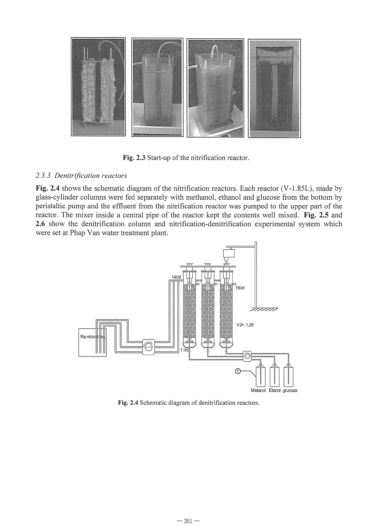

**Fig. 2.3** Start-up of the nitrification reactor.

## *2.3.3 Denitrification reactors*

**Fig. 2.4** shows the schematic diagram of the nitrification reactors. Each reactor (V-1.8SL), made by glass-cylinder columns were fed separately with methanol, ethanol and glucose from the bottom by peristaltic pump and the effluent from the nitrification reactor was pumped to the upper part of the reactor. The mixer inside a central pipe of the reactor kept the contents well mixed. **Fig. 2.5** and **2.6** show the denitrification column and nitrification-denitrification experimental system which were set at Phap Van water treatment plant.



**Fig. 2.4** Schematic diagram of denitrification reactors.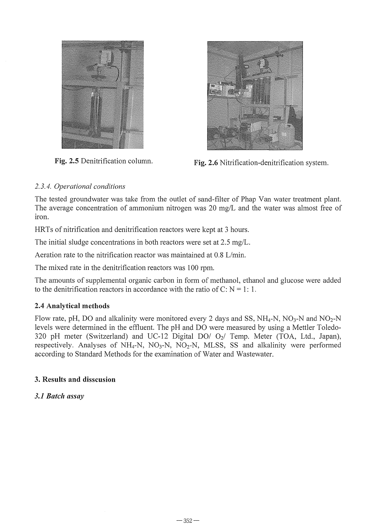



Fig. 2.5 Denitrification column.<br>Fig. 2.6 Nitrification-denitrification system.

## *2.3.4. Operational conditions*

The tested groundwater was take from the outlet of sand-filter of Phap Van water treatment plant. The average concentration of ammonium nitrogen was 20 *mg/L* and the water was almost free of iron.

HRTs of nitrification and denitrification reactors were kept at 3 hours.

The initial sludge concentrations in both reactors were set at 2.5 *mg/L.* 

Aeration rate to the nitrification reactor was maintained at  $0.8$  L/min.

The mixed rate in the denitrification reactors was 100 rpm.

The amounts of supplemental organic carbon in fonn of methanol, ethanol and glucose were added to the denitrification reactors in accordance with the ratio of C:  $N = 1: 1$ .

## 2.4 Analytical methods

Flow rate, pH, DO and alkalinity were monitored every 2 days and SS,  $NH_4$ -N, NO<sub>3</sub>-N and NO<sub>2</sub>-N levels were determined in the effluent. The pH and DO were measured by using a Mettler Toledo-320 pH meter (Switzerland) and UC-12 Digital DO/  $O_2$ / Temp. Meter (TOA, Ltd., Japan), respectively. Analyses of  $NH_4-N$ ,  $NO_3-N$ ,  $NO_2-N$ , MLSS, SS and alkalinity were performed according to Standard Methods for the examination of Water and Wastewater.

## 3. Results and disscusion

## *3.1 Batch assay*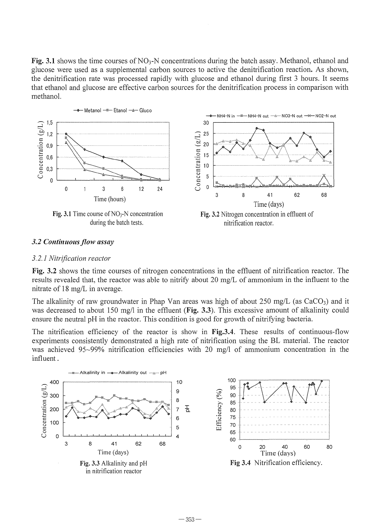**Fig. 3.1** shows the time courses of  $NO<sub>3</sub>-N$  concentrations during the batch assay. Methanol, ethanol and glucose were used as a supplemental carbon sources to active the denitrification reaction. As shown, the denitrification rate was processed rapidly with glucose and ethanol during first 3 hours. It seems that ethanol and glucose are effective carbon sources for the denitrification process in comparison with methanol.



#### *3.2 Continllolls flow assay*

#### *3.2.1 Nitrification reactor*

Fig. 3.2 shows the time courses of nitrogen concentrations in the effluent of nitrification reactor. The results revealed that, the reactor was able to nitrify about 20 mg/L of ammonium in the influent to the nitrate of 18 mg/L in average.

The alkalinity of raw groundwater in Phap Van areas was high of about 250 mg/L (as  $CaCO<sub>3</sub>$ ) and it was decreased to about 150 mg/l in the effluent (Fig. 3.3). This excessive amount of alkalinity could ensure the neutral pH in the reactor. This condition is good for growth of nitrifying bacteria.

The nitrification efficiency of the reactor is show in **Fig.3.4**. These results of continuous-flow experiments consistently demonstrated a high rate of nitrification using the BL material. The reactor was achieved 95~99% nitrification efficiencies with 20 mg/l of ammonium concentration in the influent.

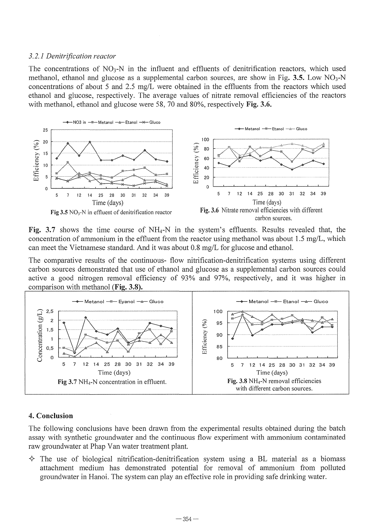#### *3.2.1 Denitrification reactor*

The concentrations of  $NO<sub>3</sub>-N$  in the influent and effluents of denitrification reactors, which used methanol, ethanol and glucose as a supplemental carbon sources, are show in Fig. 3.5. Low  $NO<sub>3</sub>-N$ concentrations of about 5 and 2.5 *mg/L* were obtained in the effluents from the reactors which used ethanol and glucose, respectively. The average values of nitrate removal efficiencies of the reactors with methanol, ethanol and glucose were 58, 70 and 80%, respectively Fig. 3.6.



Fig. 3.7 shows the time course of  $NH_4$ -N in the system's effluents. Results revealed that, the concentration of ammonium in the effluent from the reactor using methanol was about 1.5 *mg/L,* which can meet the Vietnamese standard. And it was about 0.8 *mg/L* for glucose and ethanol.

The comparative results of the continuous- flow nitrification-denitrification systems using different carbon sources demonstrated that use of ethanol and glucose as a supplemental carbon sources could active a good nitrogen removal efficiency of 93% and 97%, respectively, and it was higher in comparison with methanol (Fig.  $3.8$ ).



## 4. Conclusion

The following conclusions have been drawn from the experimental results obtained during the batch assay with synthetic groundwater and the continuous flow experiment with ammonium contaminated raw groundwater at Phap Van water treatment plant.

 $\triangle$  The use of biological nitrification-denitrification system using a BL material as a biomass attachment medium has demonstrated potential for removal of ammonium from polluted groundwater in Hanoi. The system can play an effective role in providing safe drinking water.